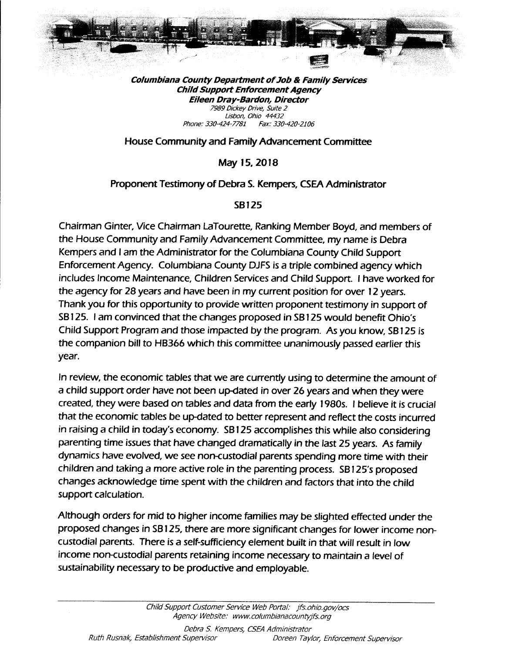

Columbiana County Department of Job & Family Services Child Suppott Enforcement Agency Eileen Dray-Bardon, Director "u t',:ff:, o;;:,, r' ;iX: ; Phone:330-424-7781 Fax:330-420-2106

House Community and Family Advancement Committee

May 15,2Ol8

## Proponent Testimony of Debra S. Kempers, CSEA Administrator

## SB125

Chairman Ginter, Mce Chairman LaTourette, Ranking Member Boyd, and members of the House Community and Family Advancement Committee, my name is Debra Kempers and I am the Administrator for the Columbiana County Child Support Enforcement Agency. Columbiana County DJFS is a triple combined agency which includes lncome Maintenance, Children Services and Child Support. I have worked for the agency for 28 years and have been in my current position for over l2 years. Thank you for this opportunity to provide written proponent testimony in support of SB 125. I am convinced that the changes proposed in SB 125 would benefit Ohio's Child Support Program and those impacted by the program. As you know, SB 125 is the companion bill to HB366 which this committee unanimously passed earlier this year.

ln review, the economic tables that we are currently using to determine the amount of a child support order have not been up-dated in over 26 years and when they were created, they were based on tables and data from the early 1980s. I believe it is crucial that the economic tables be up-dated to better represent and reflect the costs incurred in raising a child in today's economy. SB 125 accomplishes this while also considering parenting time issues that have changed dramatically in the last 25 years. As family dynamics have evolved, we see non-custodial parents spending more time with their children and taking a more active role in the parenting process. SB 125's proposed changes acknowledge time spent with the children and factors that into the child support calculation.

Although orders for mid to higher income families may be slighted effected under the proposed changes in SB 125, there are rnore significant changes for lower income non custodial parents. There is a self-sufficiency element built in that will result in low income non-custodial parents retaining income necessary to maintain a level of sustainability necessary to be productive and employable.

> Child Support Customer Seruice Web Portal: jfs.ohio.gou/ocs Agency Website: www.columbianacountyjfs.org